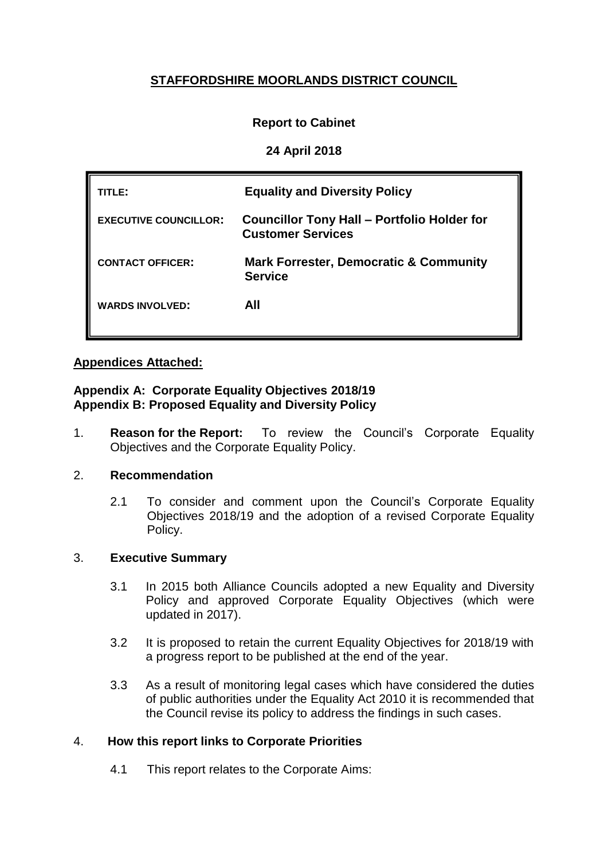# **STAFFORDSHIRE MOORLANDS DISTRICT COUNCIL**

# **Report to Cabinet**

# **24 April 2018**

| TITLE:                       | <b>Equality and Diversity Policy</b>                                           |
|------------------------------|--------------------------------------------------------------------------------|
| <b>EXECUTIVE COUNCILLOR:</b> | <b>Councillor Tony Hall - Portfolio Holder for</b><br><b>Customer Services</b> |
| <b>CONTACT OFFICER:</b>      | <b>Mark Forrester, Democratic &amp; Community</b><br><b>Service</b>            |
| <b>WARDS INVOLVED:</b>       | AII                                                                            |

# **Appendices Attached:**

#### **Appendix A: Corporate Equality Objectives 2018/19 Appendix B: Proposed Equality and Diversity Policy**

1. **Reason for the Report:** To review the Council's Corporate Equality Objectives and the Corporate Equality Policy.

### 2. **Recommendation**

2.1 To consider and comment upon the Council's Corporate Equality Objectives 2018/19 and the adoption of a revised Corporate Equality Policy.

### 3. **Executive Summary**

- 3.1 In 2015 both Alliance Councils adopted a new Equality and Diversity Policy and approved Corporate Equality Objectives (which were updated in 2017).
- 3.2 It is proposed to retain the current Equality Objectives for 2018/19 with a progress report to be published at the end of the year.
- 3.3 As a result of monitoring legal cases which have considered the duties of public authorities under the Equality Act 2010 it is recommended that the Council revise its policy to address the findings in such cases.

# 4. **How this report links to Corporate Priorities**

4.1 This report relates to the Corporate Aims: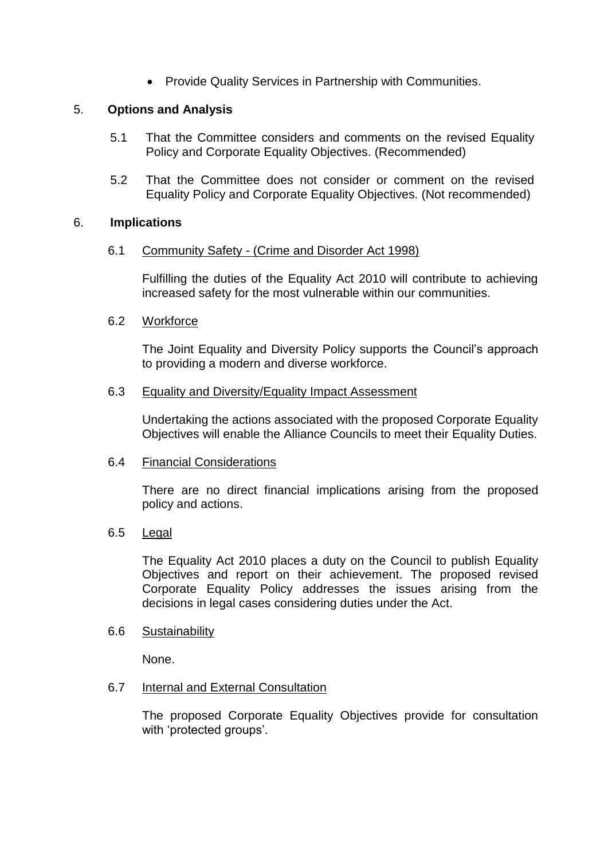• Provide Quality Services in Partnership with Communities.

## 5. **Options and Analysis**

- 5.1 That the Committee considers and comments on the revised Equality Policy and Corporate Equality Objectives. (Recommended)
- 5.2 That the Committee does not consider or comment on the revised Equality Policy and Corporate Equality Objectives. (Not recommended)

### 6. **Implications**

#### 6.1 Community Safety - (Crime and Disorder Act 1998)

Fulfilling the duties of the Equality Act 2010 will contribute to achieving increased safety for the most vulnerable within our communities.

#### 6.2 Workforce

The Joint Equality and Diversity Policy supports the Council's approach to providing a modern and diverse workforce.

#### 6.3 Equality and Diversity/Equality Impact Assessment

Undertaking the actions associated with the proposed Corporate Equality Objectives will enable the Alliance Councils to meet their Equality Duties.

#### 6.4 Financial Considerations

There are no direct financial implications arising from the proposed policy and actions.

#### 6.5 Legal

The Equality Act 2010 places a duty on the Council to publish Equality Objectives and report on their achievement. The proposed revised Corporate Equality Policy addresses the issues arising from the decisions in legal cases considering duties under the Act.

#### 6.6 Sustainability

None.

## 6.7 Internal and External Consultation

The proposed Corporate Equality Objectives provide for consultation with 'protected groups'.